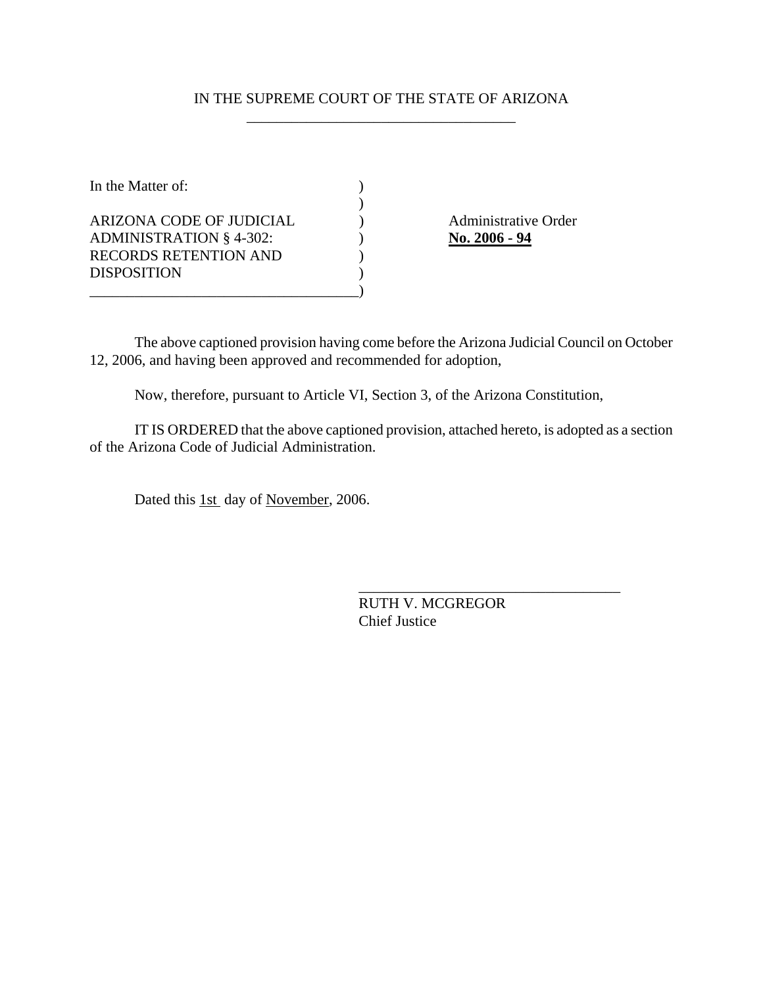## IN THE SUPREME COURT OF THE STATE OF ARIZONA \_\_\_\_\_\_\_\_\_\_\_\_\_\_\_\_\_\_\_\_\_\_\_\_\_\_\_\_\_\_\_\_\_\_\_\_

| In the Matter of:                                          |  |
|------------------------------------------------------------|--|
| ARIZONA CODE OF JUDICIAL<br><b>ADMINISTRATION § 4-302:</b> |  |
| RECORDS RETENTION AND<br><b>DISPOSITION</b>                |  |
|                                                            |  |

) Administrative Order **No. 2006 - 94** 

The above captioned provision having come before the Arizona Judicial Council on October 12, 2006, and having been approved and recommended for adoption,

Now, therefore, pursuant to Article VI, Section 3, of the Arizona Constitution,

IT IS ORDERED that the above captioned provision, attached hereto, is adopted as a section of the Arizona Code of Judicial Administration.

Dated this 1st day of November, 2006.

RUTH V. MCGREGOR Chief Justice

\_\_\_\_\_\_\_\_\_\_\_\_\_\_\_\_\_\_\_\_\_\_\_\_\_\_\_\_\_\_\_\_\_\_\_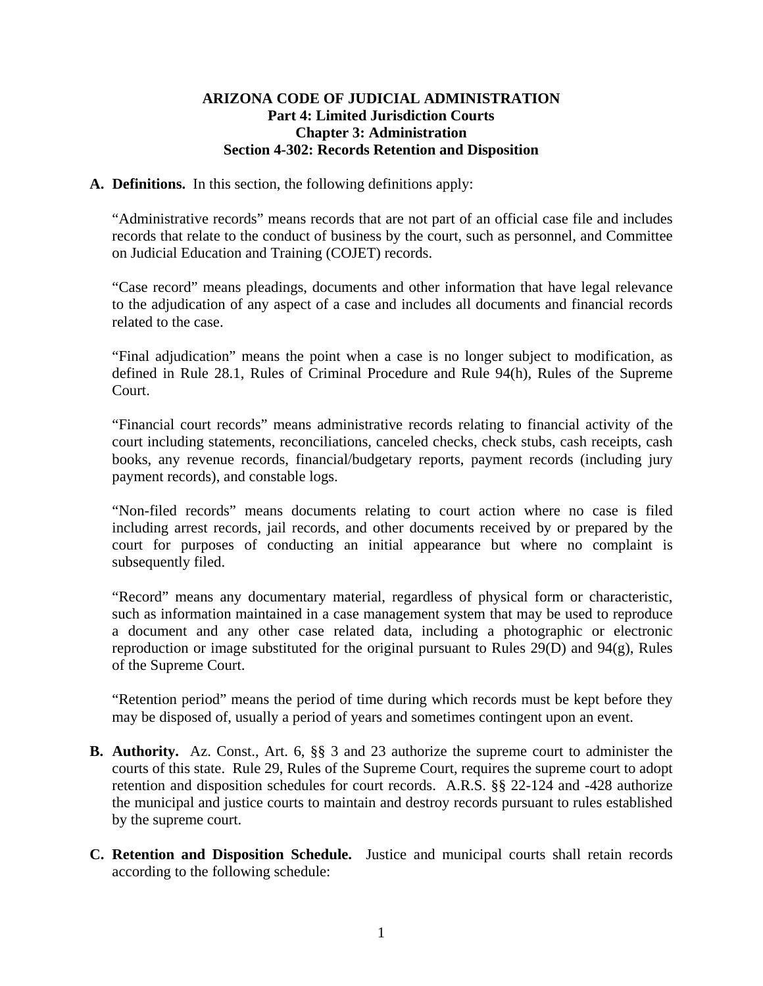## **ARIZONA CODE OF JUDICIAL ADMINISTRATION Part 4: Limited Jurisdiction Courts Chapter 3: Administration Section 4-302: Records Retention and Disposition**

## **A. Definitions.** In this section, the following definitions apply:

"Administrative records" means records that are not part of an official case file and includes records that relate to the conduct of business by the court, such as personnel, and Committee on Judicial Education and Training (COJET) records.

"Case record" means pleadings, documents and other information that have legal relevance to the adjudication of any aspect of a case and includes all documents and financial records related to the case.

"Final adjudication" means the point when a case is no longer subject to modification, as defined in Rule 28.1, Rules of Criminal Procedure and Rule 94(h), Rules of the Supreme Court.

"Financial court records" means administrative records relating to financial activity of the court including statements, reconciliations, canceled checks, check stubs, cash receipts, cash books, any revenue records, financial/budgetary reports, payment records (including jury payment records), and constable logs.

"Non-filed records" means documents relating to court action where no case is filed including arrest records, jail records, and other documents received by or prepared by the court for purposes of conducting an initial appearance but where no complaint is subsequently filed.

"Record" means any documentary material, regardless of physical form or characteristic, such as information maintained in a case management system that may be used to reproduce a document and any other case related data, including a photographic or electronic reproduction or image substituted for the original pursuant to Rules 29(D) and 94(g), Rules of the Supreme Court.

"Retention period" means the period of time during which records must be kept before they may be disposed of, usually a period of years and sometimes contingent upon an event.

- **B. Authority.** Az. Const., Art. 6, §§ 3 and 23 authorize the supreme court to administer the courts of this state. Rule 29, Rules of the Supreme Court, requires the supreme court to adopt retention and disposition schedules for court records. A.R.S. §§ 22-124 and -428 authorize the municipal and justice courts to maintain and destroy records pursuant to rules established by the supreme court.
- **C. Retention and Disposition Schedule.** Justice and municipal courts shall retain records according to the following schedule: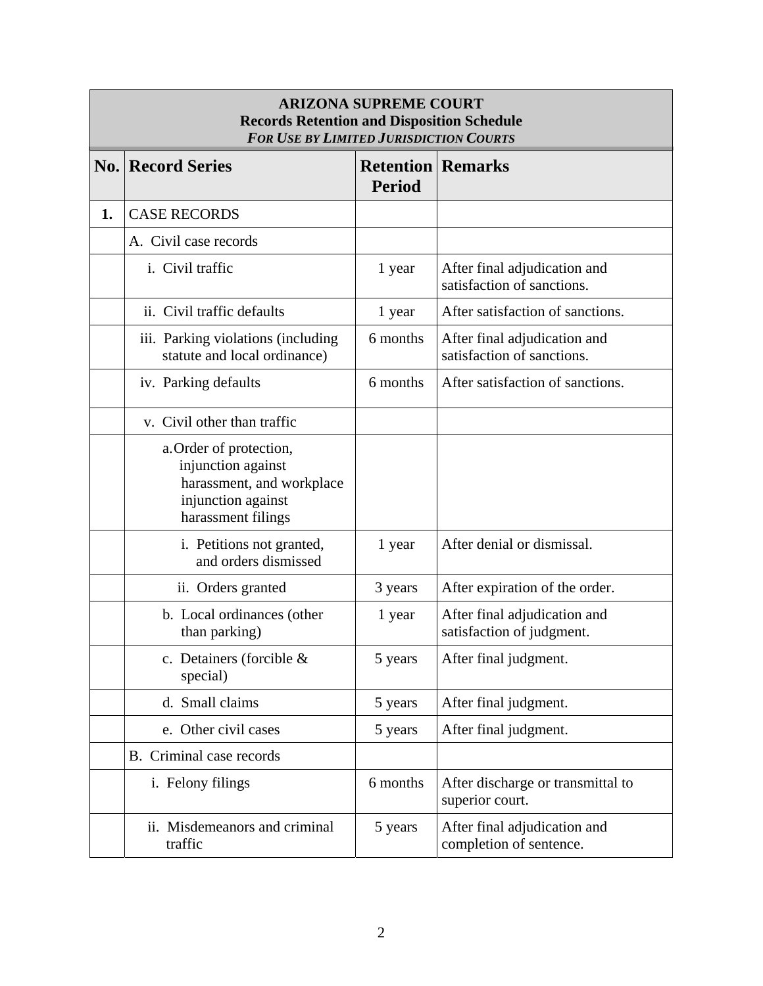| <b>ARIZONA SUPREME COURT</b><br><b>Records Retention and Disposition Schedule</b><br><b>FOR USE BY LIMITED JURISDICTION COURTS</b> |                                                                                                                        |                                           |                                                            |  |
|------------------------------------------------------------------------------------------------------------------------------------|------------------------------------------------------------------------------------------------------------------------|-------------------------------------------|------------------------------------------------------------|--|
|                                                                                                                                    | <b>No. Record Series</b>                                                                                               | <b>Retention Remarks</b><br><b>Period</b> |                                                            |  |
| 1.                                                                                                                                 | <b>CASE RECORDS</b>                                                                                                    |                                           |                                                            |  |
|                                                                                                                                    | A. Civil case records                                                                                                  |                                           |                                                            |  |
|                                                                                                                                    | <i>i.</i> Civil traffic                                                                                                | 1 year                                    | After final adjudication and<br>satisfaction of sanctions. |  |
|                                                                                                                                    | ii. Civil traffic defaults                                                                                             | 1 year                                    | After satisfaction of sanctions.                           |  |
|                                                                                                                                    | iii. Parking violations (including<br>statute and local ordinance)                                                     | 6 months                                  | After final adjudication and<br>satisfaction of sanctions. |  |
|                                                                                                                                    | iv. Parking defaults                                                                                                   | 6 months                                  | After satisfaction of sanctions.                           |  |
|                                                                                                                                    | v. Civil other than traffic                                                                                            |                                           |                                                            |  |
|                                                                                                                                    | a. Order of protection,<br>injunction against<br>harassment, and workplace<br>injunction against<br>harassment filings |                                           |                                                            |  |
|                                                                                                                                    | i. Petitions not granted,<br>and orders dismissed                                                                      | 1 year                                    | After denial or dismissal.                                 |  |
|                                                                                                                                    | ii. Orders granted                                                                                                     | 3 years                                   | After expiration of the order.                             |  |
|                                                                                                                                    | b. Local ordinances (other<br>than parking)                                                                            | 1 year                                    | After final adjudication and<br>satisfaction of judgment.  |  |
|                                                                                                                                    | c. Detainers (forcible &<br>special)                                                                                   | 5 years                                   | After final judgment.                                      |  |
|                                                                                                                                    | d. Small claims                                                                                                        | 5 years                                   | After final judgment.                                      |  |
|                                                                                                                                    | e. Other civil cases                                                                                                   | 5 years                                   | After final judgment.                                      |  |
|                                                                                                                                    | B. Criminal case records                                                                                               |                                           |                                                            |  |
|                                                                                                                                    | i. Felony filings                                                                                                      | 6 months                                  | After discharge or transmittal to<br>superior court.       |  |
|                                                                                                                                    | ii. Misdemeanors and criminal<br>traffic                                                                               | 5 years                                   | After final adjudication and<br>completion of sentence.    |  |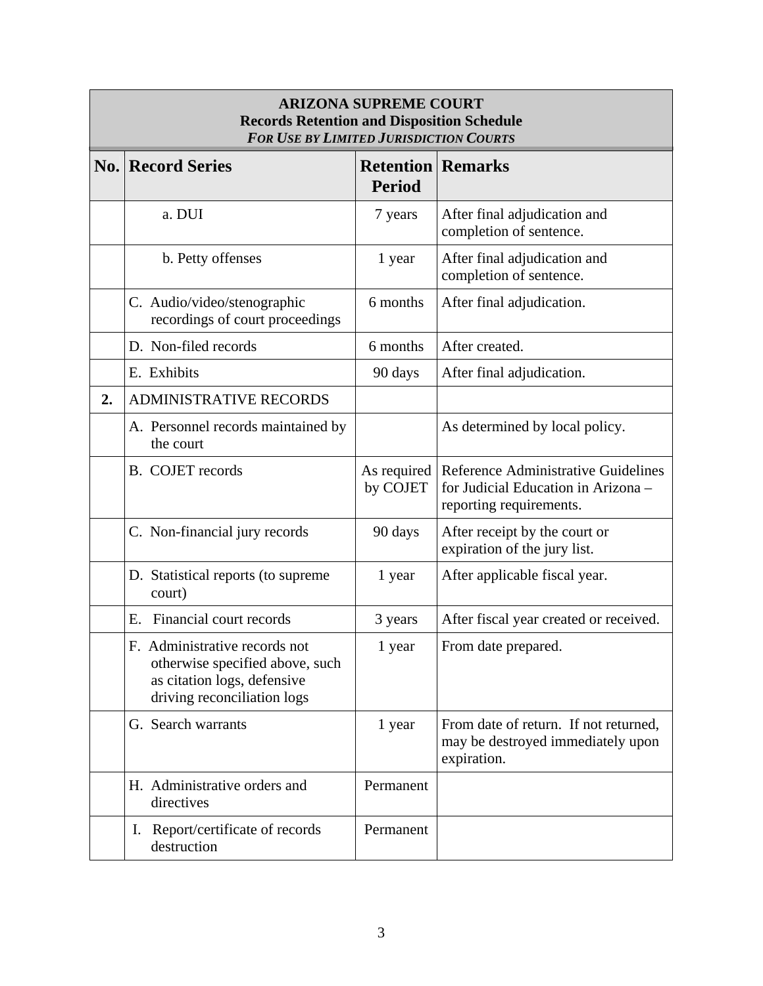| <b>ARIZONA SUPREME COURT</b><br><b>Records Retention and Disposition Schedule</b><br><b>FOR USE BY LIMITED JURISDICTION COURTS</b> |                                                                                                                                |                                           |                                                                                                       |  |
|------------------------------------------------------------------------------------------------------------------------------------|--------------------------------------------------------------------------------------------------------------------------------|-------------------------------------------|-------------------------------------------------------------------------------------------------------|--|
|                                                                                                                                    | <b>No. Record Series</b>                                                                                                       | <b>Retention Remarks</b><br><b>Period</b> |                                                                                                       |  |
|                                                                                                                                    | a. DUI                                                                                                                         | 7 years                                   | After final adjudication and<br>completion of sentence.                                               |  |
|                                                                                                                                    | b. Petty offenses                                                                                                              | 1 year                                    | After final adjudication and<br>completion of sentence.                                               |  |
|                                                                                                                                    | C. Audio/video/stenographic<br>recordings of court proceedings                                                                 | 6 months                                  | After final adjudication.                                                                             |  |
|                                                                                                                                    | D. Non-filed records                                                                                                           | 6 months                                  | After created.                                                                                        |  |
|                                                                                                                                    | E. Exhibits                                                                                                                    | 90 days                                   | After final adjudication.                                                                             |  |
| 2.                                                                                                                                 | <b>ADMINISTRATIVE RECORDS</b>                                                                                                  |                                           |                                                                                                       |  |
|                                                                                                                                    | A. Personnel records maintained by<br>the court                                                                                |                                           | As determined by local policy.                                                                        |  |
|                                                                                                                                    | <b>B.</b> COJET records                                                                                                        | As required<br>by COJET                   | Reference Administrative Guidelines<br>for Judicial Education in Arizona -<br>reporting requirements. |  |
|                                                                                                                                    | C. Non-financial jury records                                                                                                  | 90 days                                   | After receipt by the court or<br>expiration of the jury list.                                         |  |
|                                                                                                                                    | D. Statistical reports (to supreme<br>court)                                                                                   | 1 year                                    | After applicable fiscal year.                                                                         |  |
|                                                                                                                                    | Financial court records<br>Ε.                                                                                                  | 3 years                                   | After fiscal year created or received.                                                                |  |
|                                                                                                                                    | E. Administrative records not<br>otherwise specified above, such<br>as citation logs, defensive<br>driving reconciliation logs | 1 year                                    | From date prepared.                                                                                   |  |
|                                                                                                                                    | G. Search warrants                                                                                                             | 1 year                                    | From date of return. If not returned,<br>may be destroyed immediately upon<br>expiration.             |  |
|                                                                                                                                    | H. Administrative orders and<br>directives                                                                                     | Permanent                                 |                                                                                                       |  |
|                                                                                                                                    | Report/certificate of records<br>Ι.<br>destruction                                                                             | Permanent                                 |                                                                                                       |  |

 $\overline{\phantom{a}}$